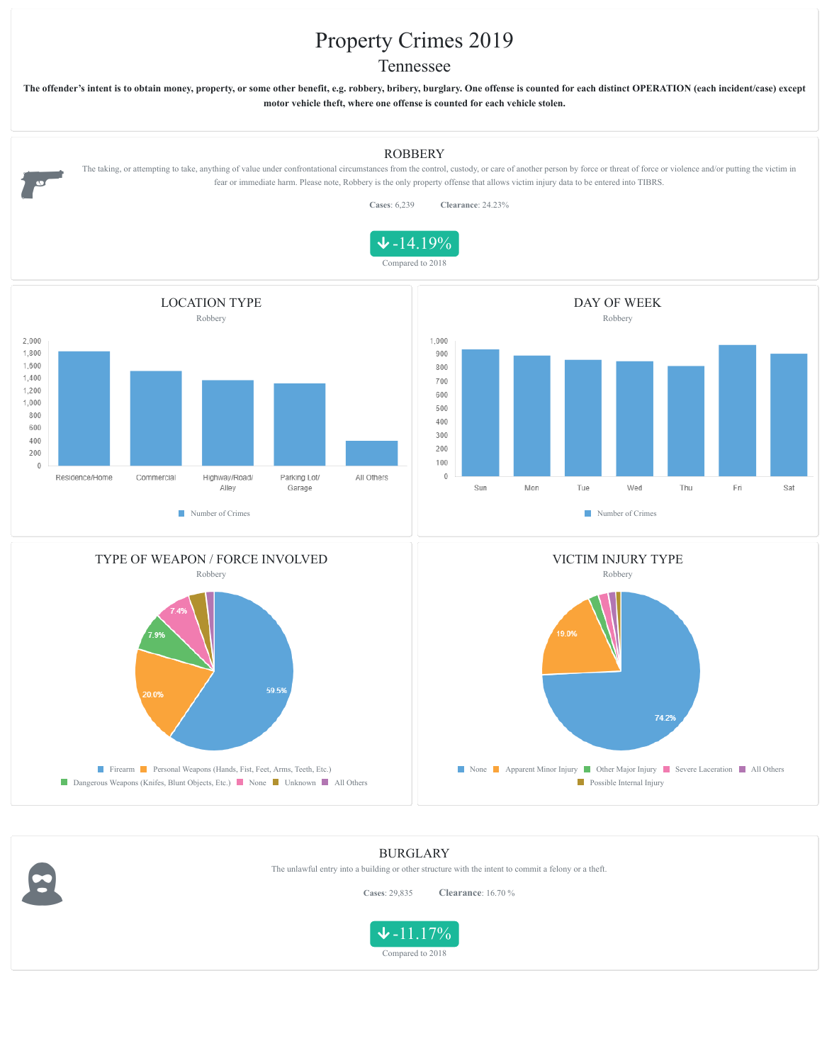## Property Crimes 2019

## Tennessee

**The offender's intent is to obtain money, property, or some other benefit, e.g. robbery, bribery, burglary. One offense is counted for each distinct OPERATION (each incident/case) except motor vehicle theft, where one offense is counted for each vehicle stolen.**











**Firearm Personal Weapons (Hands, Fist, Feet, Arms, Teeth, Etc.)** Dangerous Weapons (Knifes, Blunt Objects, Etc.) None Unknown All Others

8

None Apparent Minor Injury Other Major Injury Severe Laceration All Others **Possible Internal Injury** 

## BURGLARY

The unlawful entry into a building or other structure with the intent to commit a felony or a theft.

**Cases**: 29,835 **Clearance**: 16.70 %

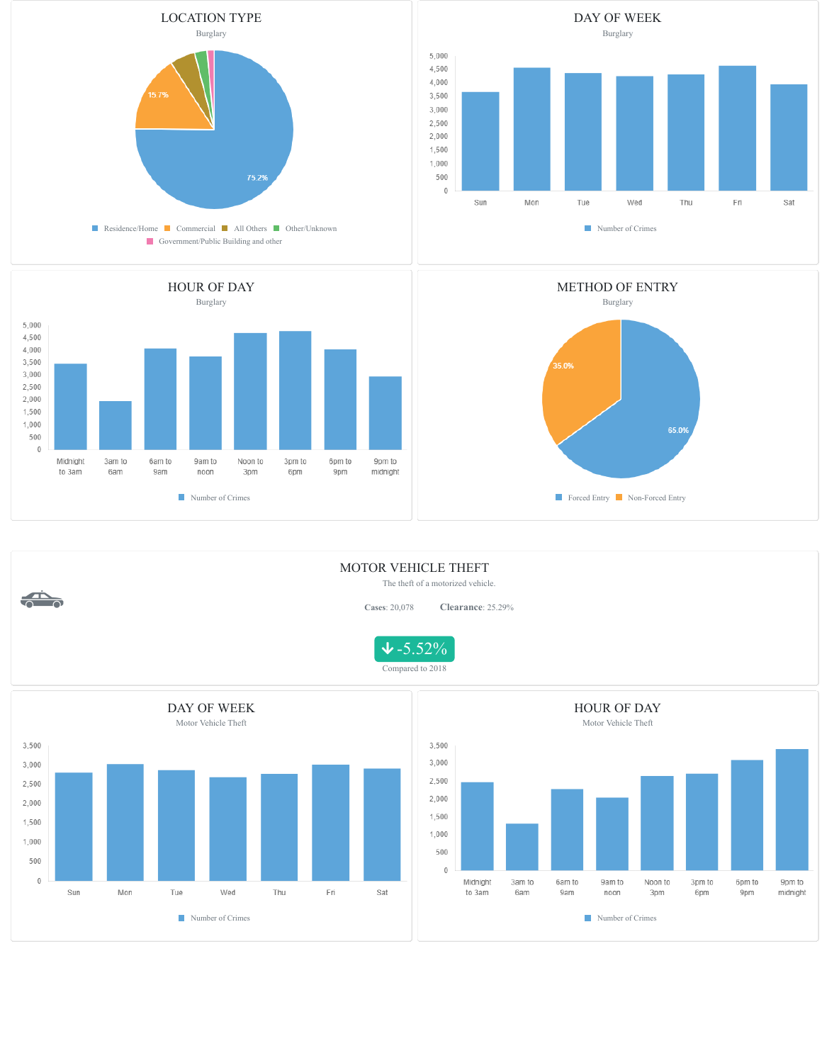